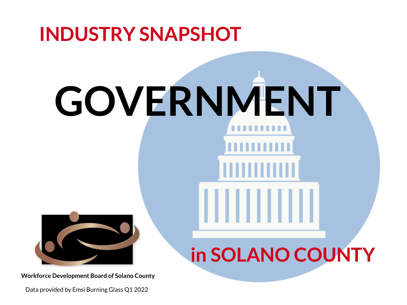# **INDUSTRY SNAPSHOT GOVERNMENT in SOLANO COUNTY**

Data provided by Emsi Burning Glass Q1 2022



**Workforce Development Board of Solano County**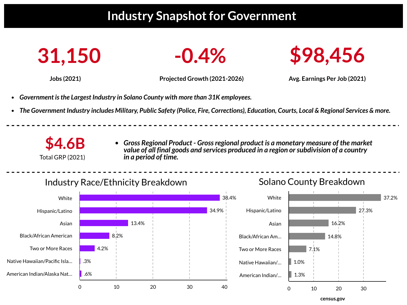# **Industry Snapshot for Government**







**Jobs (2021) Projected Growth (2021-2026) Avg. Earnings Per Job (2021)**

**\$4.6B** Total GRP (2021)

- *Government isthe Largest Industry in Solano County with more than 31K employees.*
- The Government Industry includes Military, Public Safety (Police, Fire, Corrections), Education, Courts, Local & Regional Services & more.

*Gross Regional Product - Grossregional product is a monetary measure of the market value of all final goods and services produced in a region orsubdivision of a country in a period of time.*

# Industry Race/Ethnicity Breakdown